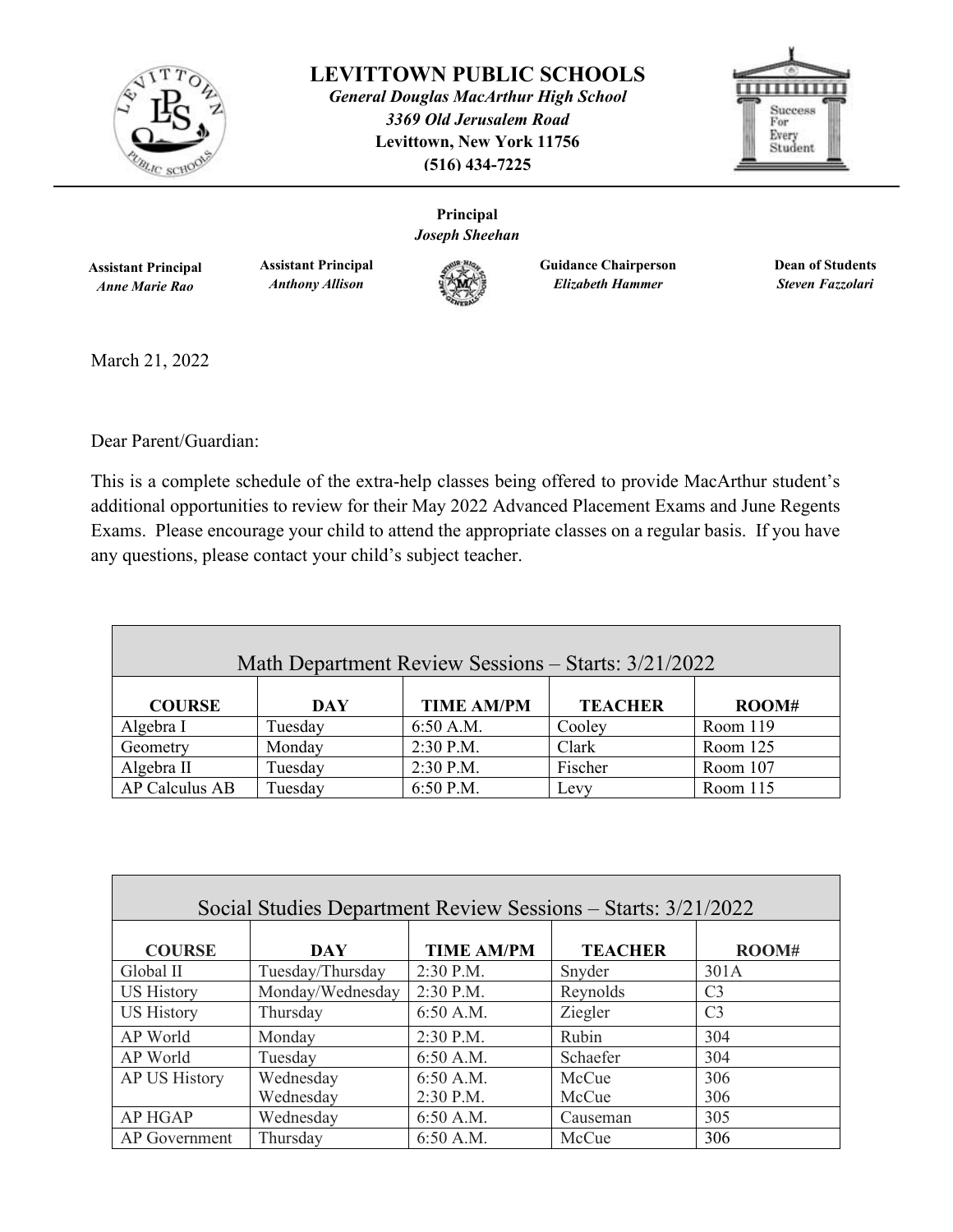

**LEVITTOWN PUBLIC SCHOOLS**

*General Douglas MacArthur High School 3369 Old Jerusalem Road*  **Levittown, New York 11756 (516) 434-7225** 



**Principal** *Joseph Sheehan*

> **Guidance Chairperson** *Elizabeth Hammer*

**Dean of Students** *Steven Fazzolari* 

**Assistant Principal** *Anne Marie Rao*

**Assistant Principal** *Anthony Allison* 



March 21, 2022

Dear Parent/Guardian:

This is a complete schedule of the extra-help classes being offered to provide MacArthur student's additional opportunities to review for their May 2022 Advanced Placement Exams and June Regents Exams. Please encourage your child to attend the appropriate classes on a regular basis. If you have any questions, please contact your child's subject teacher.

| Math Department Review Sessions – Starts: 3/21/2022 |         |                   |                |          |  |
|-----------------------------------------------------|---------|-------------------|----------------|----------|--|
| <b>COURSE</b>                                       | DAY     | <b>TIME AM/PM</b> | <b>TEACHER</b> | ROOM#    |  |
| Algebra I                                           | Tuesday | 6:50 A.M.         | Cooley         | Room 119 |  |
| Geometry                                            | Monday  | $2:30$ P.M.       | Clark          | Room 125 |  |
| Algebra II                                          | Tuesday | 2:30 P.M.         | Fischer        | Room 107 |  |
| AP Calculus AB                                      | Tuesday | 6:50 P.M.         | Levy           | Room 115 |  |

| Social Studies Department Review Sessions - Starts: 3/21/2022 |                  |                   |                |                |  |
|---------------------------------------------------------------|------------------|-------------------|----------------|----------------|--|
| <b>COURSE</b>                                                 | DAY              | <b>TIME AM/PM</b> | <b>TEACHER</b> | ROOM#          |  |
| Global II                                                     | Tuesday/Thursday | $2:30$ P.M.       | Snyder         | 301A           |  |
| <b>US History</b>                                             | Monday/Wednesday | 2:30 P.M.         | Reynolds       | C <sub>3</sub> |  |
| <b>US History</b>                                             | Thursday         | 6:50 A.M.         | Ziegler        | C <sub>3</sub> |  |
| AP World                                                      | Monday           | $2:30$ P.M.       | Rubin          | 304            |  |
| AP World                                                      | Tuesday          | 6:50 A.M.         | Schaefer       | 304            |  |
| AP US History                                                 | Wednesday        | 6:50 A.M.         | McCue          | 306            |  |
|                                                               | Wednesday        | 2:30 P.M.         | McCue          | 306            |  |
| <b>AP HGAP</b>                                                | Wednesday        | 6:50 A.M.         | Causeman       | 305            |  |
| AP Government                                                 | Thursday         | 6:50 A.M.         | McCue          | 306            |  |